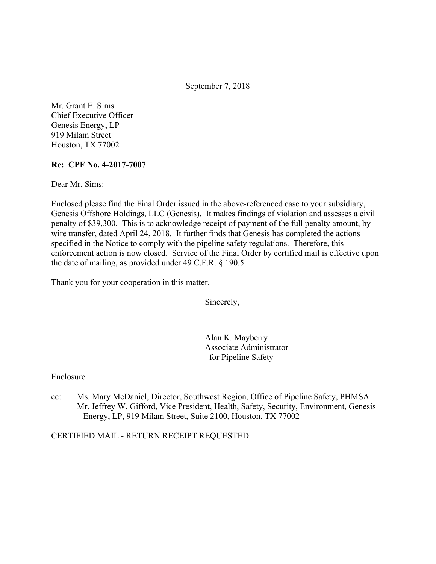September 7, 2018

Mr. Grant E. Sims Chief Executive Officer Genesis Energy, LP 919 Milam Street Houston, TX 77002

### **Re: CPF No. 4-2017-7007**

Dear Mr. Sims:

Enclosed please find the Final Order issued in the above-referenced case to your subsidiary, Genesis Offshore Holdings, LLC (Genesis). It makes findings of violation and assesses a civil penalty of \$39,300. This is to acknowledge receipt of payment of the full penalty amount, by wire transfer, dated April 24, 2018. It further finds that Genesis has completed the actions specified in the Notice to comply with the pipeline safety regulations. Therefore, this enforcement action is now closed. Service of the Final Order by certified mail is effective upon the date of mailing, as provided under 49 C.F.R. § 190.5.

Thank you for your cooperation in this matter.

Sincerely,

Alan K. Mayberry Associate Administrator for Pipeline Safety

#### Enclosure

cc: Ms. Mary McDaniel, Director, Southwest Region, Office of Pipeline Safety, PHMSA Mr. Jeffrey W. Gifford, Vice President, Health, Safety, Security, Environment, Genesis Energy, LP, 919 Milam Street, Suite 2100, Houston, TX 77002

#### CERTIFIED MAIL - RETURN RECEIPT REQUESTED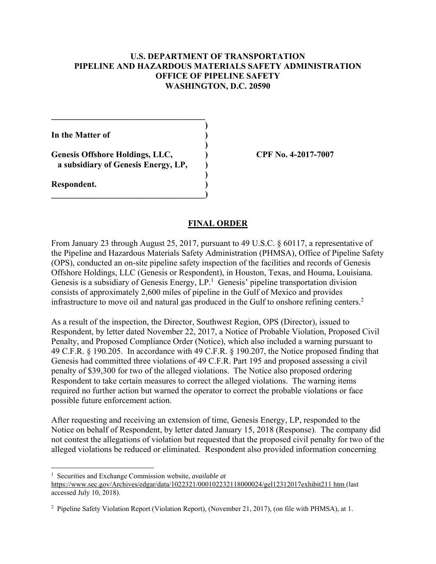## **U.S. DEPARTMENT OF TRANSPORTATION PIPELINE AND HAZARDOUS MATERIALS SAFETY ADMINISTRATION OFFICE OF PIPELINE SAFETY WASHINGTON, D.C. 20590**

**)**

 **)**

 **)**

**In the Matter of )**

**Genesis Offshore Holdings, LLC, ) CPF No. 4-2017-7007 a subsidiary of Genesis Energy, LP, )**

**\_\_\_\_\_\_\_\_\_\_\_\_\_\_\_\_\_\_\_\_\_\_\_\_\_\_\_\_\_\_\_\_\_\_\_\_)** 

 $\mathcal{L}=\{1,2,3,4,5\}$ 

**Respondent. )** 

 $\overline{a}$ 

### **FINAL ORDER**

infrastructure to move oil and natural gas produced in the Gulf to onshore refining centers.<sup>2</sup> From January 23 through August 25, 2017, pursuant to 49 U.S.C. § 60117, a representative of the Pipeline and Hazardous Materials Safety Administration (PHMSA), Office of Pipeline Safety (OPS), conducted an on-site pipeline safety inspection of the facilities and records of Genesis Offshore Holdings, LLC (Genesis or Respondent), in Houston, Texas, and Houma, Louisiana. Genesis is a subsidiary of Genesis Energy,  $LP<sup>1</sup>$  Genesis' pipeline transportation division consists of approximately 2,600 miles of pipeline in the Gulf of Mexico and provides

As a result of the inspection, the Director, Southwest Region, OPS (Director), issued to Respondent, by letter dated November 22, 2017, a Notice of Probable Violation, Proposed Civil Penalty, and Proposed Compliance Order (Notice), which also included a warning pursuant to 49 C.F.R. § 190.205. In accordance with 49 C.F.R. § 190.207, the Notice proposed finding that Genesis had committed three violations of 49 C.F.R. Part 195 and proposed assessing a civil penalty of \$39,300 for two of the alleged violations. The Notice also proposed ordering Respondent to take certain measures to correct the alleged violations. The warning items required no further action but warned the operator to correct the probable violations or face possible future enforcement action.

After requesting and receiving an extension of time, Genesis Energy, LP, responded to the Notice on behalf of Respondent, by letter dated January 15, 2018 (Response). The company did not contest the allegations of violation but requested that the proposed civil penalty for two of the alleged violations be reduced or eliminated. Respondent also provided information concerning

<sup>1</sup> Securities and Exchange Commission website, *available at* 

https://www.sec.gov/Archives/edgar/data/1022321/000102232118000024/gel12312017exhibit211 htm (last accessed July 10, 2018).

<sup>2</sup> Pipeline Safety Violation Report (Violation Report), (November 21, 2017), (on file with PHMSA), at 1.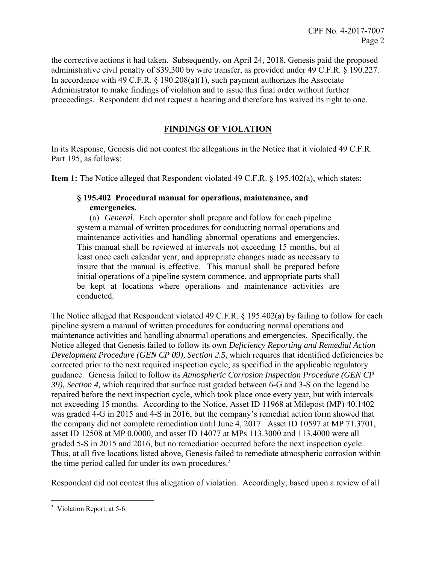the corrective actions it had taken. Subsequently, on April 24, 2018, Genesis paid the proposed administrative civil penalty of \$39,300 by wire transfer, as provided under 49 C.F.R. § 190.227. In accordance with 49 C.F.R. § 190.208(a)(1), such payment authorizes the Associate Administrator to make findings of violation and to issue this final order without further proceedings. Respondent did not request a hearing and therefore has waived its right to one.

# **FINDINGS OF VIOLATION**

In its Response, Genesis did not contest the allegations in the Notice that it violated 49 C.F.R. Part 195, as follows:

**Item 1:** The Notice alleged that Respondent violated 49 C.F.R. § 195.402(a), which states:

## **§ 195.402 Procedural manual for operations, maintenance, and emergencies.**

 maintenance activities and handling abnormal operations and emergencies. (a) *General*. Each operator shall prepare and follow for each pipeline system a manual of written procedures for conducting normal operations and This manual shall be reviewed at intervals not exceeding 15 months, but at least once each calendar year, and appropriate changes made as necessary to insure that the manual is effective. This manual shall be prepared before initial operations of a pipeline system commence, and appropriate parts shall be kept at locations where operations and maintenance activities are conducted.

The Notice alleged that Respondent violated 49 C.F.R. § 195.402(a) by failing to follow for each pipeline system a manual of written procedures for conducting normal operations and maintenance activities and handling abnormal operations and emergencies. Specifically, the Notice alleged that Genesis failed to follow its own *Deficiency Reporting and Remedial Action Development Procedure (GEN CP 09), Section 2.5,* which requires that identified deficiencies be corrected prior to the next required inspection cycle, as specified in the applicable regulatory guidance. Genesis failed to follow its *Atmospheric Corrosion Inspection Procedure (GEN CP 39), Section 4,* which required that surface rust graded between 6-G and 3-S on the legend be repaired before the next inspection cycle, which took place once every year, but with intervals not exceeding 15 months. According to the Notice, Asset ID 11968 at Milepost (MP) 40.1402 was graded 4-G in 2015 and 4-S in 2016, but the company's remedial action form showed that the company did not complete remediation until June 4, 2017. Asset ID 10597 at MP 71.3701, asset ID 12508 at MP 0.0000, and asset ID 14077 at MPs 113.3000 and 113.4000 were all graded 5-S in 2015 and 2016, but no remediation occurred before the next inspection cycle. Thus, at all five locations listed above, Genesis failed to remediate atmospheric corrosion within the time period called for under its own procedures.<sup>3</sup>

Respondent did not contest this allegation of violation. Accordingly, based upon a review of all

 $\overline{a}$ <sup>3</sup> Violation Report, at 5-6.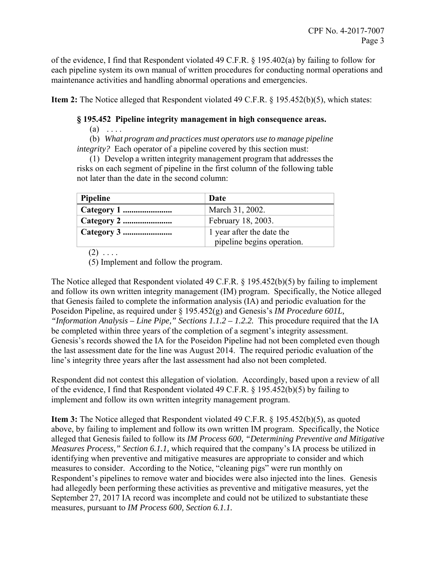of the evidence, I find that Respondent violated 49 C.F.R. § 195.402(a) by failing to follow for each pipeline system its own manual of written procedures for conducting normal operations and maintenance activities and handling abnormal operations and emergencies.

**Item 2:** The Notice alleged that Respondent violated 49 C.F.R. § 195.452(b)(5), which states:

# **§ 195.452 Pipeline integrity management in high consequence areas.**

 $(a) \ldots$ 

(b) *What program and practices must operators use to manage pipeline integrity?* Each operator of a pipeline covered by this section must:

 (1) Develop a written integrity management program that addresses the risks on each segment of pipeline in the first column of the following table not later than the date in the second column:

| Date                                                    |
|---------------------------------------------------------|
| March 31, 2002.                                         |
| February 18, 2003.                                      |
| 1 year after the date the<br>pipeline begins operation. |
|                                                         |

 $(2) \ldots$ .

(5) Implement and follow the program.

The Notice alleged that Respondent violated 49 C.F.R. § 195.452(b)(5) by failing to implement and follow its own written integrity management (IM) program. Specifically, the Notice alleged that Genesis failed to complete the information analysis (IA) and periodic evaluation for the Poseidon Pipeline, as required under § 195.452(g) and Genesis's *IM Procedure 601L, "Information Analysis – Line Pipe," Sections 1.1.2 – 1.2.2.* This procedure required that the IA be completed within three years of the completion of a segment's integrity assessment. Genesis's records showed the IA for the Poseidon Pipeline had not been completed even though the last assessment date for the line was August 2014. The required periodic evaluation of the line's integrity three years after the last assessment had also not been completed.

Respondent did not contest this allegation of violation. Accordingly, based upon a review of all of the evidence, I find that Respondent violated 49 C.F.R. § 195.452(b)(5) by failing to implement and follow its own written integrity management program.

**Item 3:** The Notice alleged that Respondent violated 49 C.F.R. § 195.452(b)(5), as quoted above, by failing to implement and follow its own written IM program. Specifically, the Notice alleged that Genesis failed to follow its *IM Process 600, "Determining Preventive and Mitigative Measures Process," Section 6.1.1,* which required that the company's IA process be utilized in identifying when preventive and mitigative measures are appropriate to consider and which measures to consider. According to the Notice, "cleaning pigs" were run monthly on Respondent's pipelines to remove water and biocides were also injected into the lines. Genesis had allegedly been performing these activities as preventive and mitigative measures, yet the September 27, 2017 IA record was incomplete and could not be utilized to substantiate these measures, pursuant to *IM Process 600, Section 6.1.1.*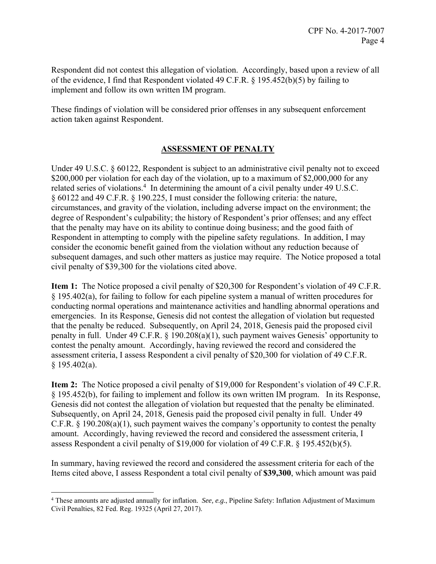Respondent did not contest this allegation of violation. Accordingly, based upon a review of all of the evidence, I find that Respondent violated 49 C.F.R. § 195.452(b)(5) by failing to implement and follow its own written IM program.

These findings of violation will be considered prior offenses in any subsequent enforcement action taken against Respondent.

# **ASSESSMENT OF PENALTY**

Under 49 U.S.C. § 60122, Respondent is subject to an administrative civil penalty not to exceed \$200,000 per violation for each day of the violation, up to a maximum of \$2,000,000 for any related series of violations.<sup>4</sup> In determining the amount of a civil penalty under 49 U.S.C. § 60122 and 49 C.F.R. § 190.225, I must consider the following criteria: the nature, circumstances, and gravity of the violation, including adverse impact on the environment; the degree of Respondent's culpability; the history of Respondent's prior offenses; and any effect that the penalty may have on its ability to continue doing business; and the good faith of Respondent in attempting to comply with the pipeline safety regulations. In addition, I may consider the economic benefit gained from the violation without any reduction because of subsequent damages, and such other matters as justice may require. The Notice proposed a total civil penalty of \$39,300 for the violations cited above.

**Item 1:** The Notice proposed a civil penalty of \$20,300 for Respondent's violation of 49 C.F.R. § 195.402(a), for failing to follow for each pipeline system a manual of written procedures for conducting normal operations and maintenance activities and handling abnormal operations and emergencies. In its Response, Genesis did not contest the allegation of violation but requested that the penalty be reduced. Subsequently, on April 24, 2018, Genesis paid the proposed civil penalty in full. Under 49 C.F.R. § 190.208(a)(1), such payment waives Genesis' opportunity to contest the penalty amount. Accordingly, having reviewed the record and considered the assessment criteria, I assess Respondent a civil penalty of \$20,300 for violation of 49 C.F.R. § 195.402(a).

**Item 2:** The Notice proposed a civil penalty of \$19,000 for Respondent's violation of 49 C.F.R. § 195.452(b), for failing to implement and follow its own written IM program. In its Response, Genesis did not contest the allegation of violation but requested that the penalty be eliminated. Subsequently, on April 24, 2018, Genesis paid the proposed civil penalty in full. Under 49 C.F.R. § 190.208(a)(1), such payment waives the company's opportunity to contest the penalty amount. Accordingly, having reviewed the record and considered the assessment criteria, I assess Respondent a civil penalty of \$19,000 for violation of 49 C.F.R. § 195.452(b)(5).

In summary, having reviewed the record and considered the assessment criteria for each of the Items cited above, I assess Respondent a total civil penalty of **\$39,300**, which amount was paid

 $\overline{a}$ 

<sup>4</sup> These amounts are adjusted annually for inflation. *See, e.g.*, Pipeline Safety: Inflation Adjustment of Maximum Civil Penalties, 82 Fed. Reg. 19325 (April 27, 2017).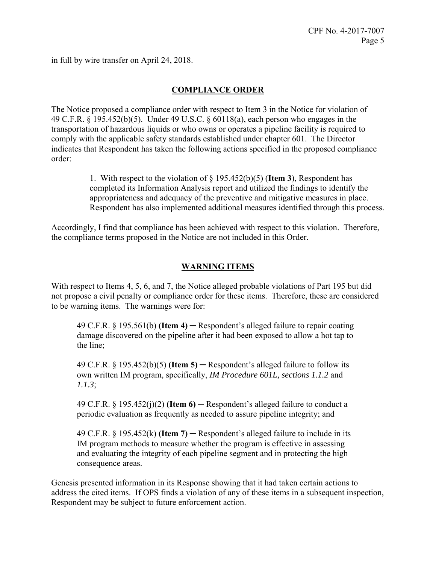in full by wire transfer on April 24, 2018.

## **COMPLIANCE ORDER**

The Notice proposed a compliance order with respect to Item 3 in the Notice for violation of 49 C.F.R. § 195.452(b)(5). Under 49 U.S.C. § 60118(a), each person who engages in the transportation of hazardous liquids or who owns or operates a pipeline facility is required to comply with the applicable safety standards established under chapter 601. The Director indicates that Respondent has taken the following actions specified in the proposed compliance order:

> 1. With respect to the violation of § 195.452(b)(5) (**Item 3**), Respondent has completed its Information Analysis report and utilized the findings to identify the appropriateness and adequacy of the preventive and mitigative measures in place. Respondent has also implemented additional measures identified through this process.

Accordingly, I find that compliance has been achieved with respect to this violation. Therefore, the compliance terms proposed in the Notice are not included in this Order.

### **WARNING ITEMS**

With respect to Items 4, 5, 6, and 7, the Notice alleged probable violations of Part 195 but did not propose a civil penalty or compliance order for these items. Therefore, these are considered to be warning items. The warnings were for:

49 C.F.R. § 195.561(b) **(Item 4)** ─ Respondent's alleged failure to repair coating damage discovered on the pipeline after it had been exposed to allow a hot tap to the line;

49 C.F.R. § 195.452(b)(5) **(Item 5)** ─ Respondent's alleged failure to follow its own written IM program, specifically, *IM Procedure 601L, sections 1.1.2* and *1.1.3*;

49 C.F.R.  $\S$  195.452(j)(2) **(Item 6)** — Respondent's alleged failure to conduct a periodic evaluation as frequently as needed to assure pipeline integrity; and

49 C.F.R. § 195.452(k) **(Item 7)** ─ Respondent's alleged failure to include in its IM program methods to measure whether the program is effective in assessing and evaluating the integrity of each pipeline segment and in protecting the high consequence areas.

Genesis presented information in its Response showing that it had taken certain actions to address the cited items. If OPS finds a violation of any of these items in a subsequent inspection, Respondent may be subject to future enforcement action.